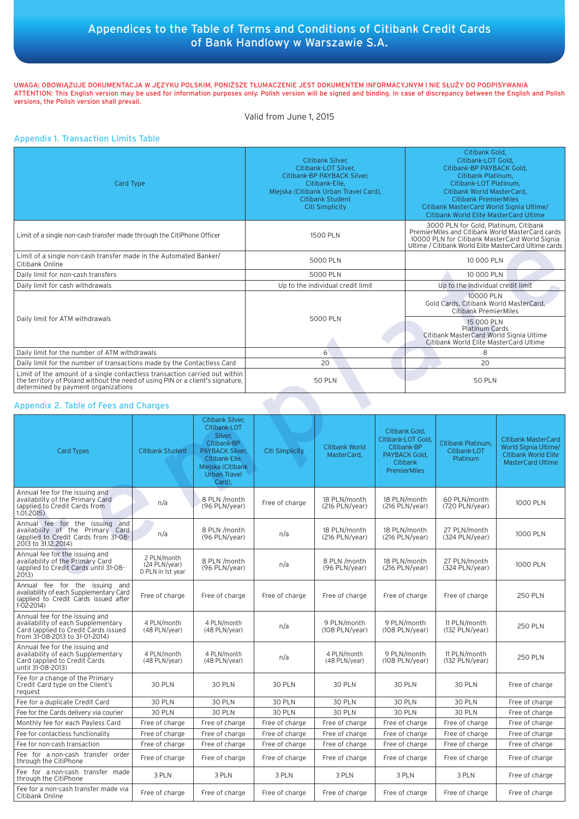# Appendices to the Table of Terms and Conditions of Citibank Credit Cards of Bank Handlowy w Warszawie S.A.

UWAGA: OBOWIĄZUJE DOKUMENTACJA W JĘZYKU POLSKIM, PONIŻSZE TŁUMACZENIE JEST DOKUMENTEM INFORMACYJNYM I NIE SŁUŻY DO PODPISYWANIA ATTENTION: This English version may be used for information purposes only. Polish version will be signed and binding. In case of discrepancy between the English and Polish versions, the Polish version shall prevail.

#### Valid from June 1, 2015

## Appendix 1. Transaction Limits Table

| Card Type                                                                                                                                                                                           | Citibank Silver,<br>Citibank-LOT Silver.<br>Citibank-BP PAYBACK Silver.<br>Citibank-Elle.<br>Miejska (Citibank Urban Travel Card),<br>Citibank Student<br>Citi Simplicity | Citibank Gold.<br>Citibank-LOT Gold.<br>Citibank-BP PAYBACK Gold.<br>Citibank Platinum.<br>Citibank-LOT Platinum.<br>Citibank World MasterCard.<br><b>Citibank PremierMiles</b><br>Citibank MasterCard World Signia Ultime/<br>Citibank World Elite MasterCard Ultime |  |  |
|-----------------------------------------------------------------------------------------------------------------------------------------------------------------------------------------------------|---------------------------------------------------------------------------------------------------------------------------------------------------------------------------|-----------------------------------------------------------------------------------------------------------------------------------------------------------------------------------------------------------------------------------------------------------------------|--|--|
| Limit of a single non-cash transfer made through the CitiPhone Officer                                                                                                                              | 1500 PLN                                                                                                                                                                  | 3000 PLN for Gold, Platinum, Citibank<br>PremierMiles and Citibank World MasterCard cards<br>10000 PLN for Citibank MasterCard World Signia<br>Ultime / Citibank World Elite MasterCard Ultime cards                                                                  |  |  |
| Limit of a single non-cash transfer made in the Automated Banker/<br>Citibank Online                                                                                                                | 5000 PLN                                                                                                                                                                  | 10 000 PLN                                                                                                                                                                                                                                                            |  |  |
| Daily limit for non-cash transfers                                                                                                                                                                  | 5000 PLN                                                                                                                                                                  | 10 000 PLN                                                                                                                                                                                                                                                            |  |  |
| Daily limit for cash withdrawals                                                                                                                                                                    | Up to the individual credit limit                                                                                                                                         | Up to the individual credit limit                                                                                                                                                                                                                                     |  |  |
|                                                                                                                                                                                                     | 5000 PLN                                                                                                                                                                  | 10000 PLN<br>Gold Cards, Citibank World MasterCard,<br><b>Citibank PremierMiles</b>                                                                                                                                                                                   |  |  |
| Daily limit for ATM withdrawals                                                                                                                                                                     |                                                                                                                                                                           | 15 000 PLN<br><b>Platinum Cards</b><br>Citibank MasterCard World Signia Ultime<br>Citibank World Elite MasterCard Ultime                                                                                                                                              |  |  |
| Daily limit for the number of ATM withdrawals                                                                                                                                                       | 6                                                                                                                                                                         | 8                                                                                                                                                                                                                                                                     |  |  |
| Daily limit for the number of transactions made by the Contactless Card                                                                                                                             | 20                                                                                                                                                                        | 20                                                                                                                                                                                                                                                                    |  |  |
| Limit of the amount of a single contactless transaction carried out within<br>the territory of Poland without the need of using PIN or a client's signature,<br>determined by payment organizations | <b>50 PLN</b>                                                                                                                                                             | <b>50 PLN</b>                                                                                                                                                                                                                                                         |  |  |

## Appendix 2. Table of Fees and Charges

|                                                                                                                                                                                                     |                                                   |                                                                                                                                                              |                                   |                                      |                                                                                                                | Ultime / Citibank World Elite MasterCard Ultime cards                                                                                                                 |                                                |                                                                                                               |
|-----------------------------------------------------------------------------------------------------------------------------------------------------------------------------------------------------|---------------------------------------------------|--------------------------------------------------------------------------------------------------------------------------------------------------------------|-----------------------------------|--------------------------------------|----------------------------------------------------------------------------------------------------------------|-----------------------------------------------------------------------------------------------------------------------------------------------------------------------|------------------------------------------------|---------------------------------------------------------------------------------------------------------------|
| Limit of a single non-cash transfer made in the Automated Banker/<br>Citibank Online                                                                                                                |                                                   |                                                                                                                                                              | 5000 PLN                          |                                      |                                                                                                                | 10 000 PLN                                                                                                                                                            |                                                |                                                                                                               |
| Daily limit for non-cash transfers                                                                                                                                                                  |                                                   |                                                                                                                                                              | 5000 PLN                          |                                      |                                                                                                                | 10 000 PLN                                                                                                                                                            |                                                |                                                                                                               |
| Daily limit for cash withdrawals                                                                                                                                                                    |                                                   |                                                                                                                                                              | Up to the individual credit limit |                                      |                                                                                                                | Up to the individual credit limit                                                                                                                                     |                                                |                                                                                                               |
| Daily limit for ATM withdrawals                                                                                                                                                                     |                                                   |                                                                                                                                                              | 5000 PLN                          |                                      |                                                                                                                | 10000 PLN<br>Gold Cards, Citibank World MasterCard,<br><b>Citibank PremierMiles</b><br>15 000 PLN<br><b>Platinum Cards</b><br>Citibank MasterCard World Signia Ultime |                                                |                                                                                                               |
|                                                                                                                                                                                                     |                                                   |                                                                                                                                                              | 6                                 |                                      |                                                                                                                | Citibank World Elite MasterCard Ultime<br>8                                                                                                                           |                                                |                                                                                                               |
| Daily limit for the number of ATM withdrawals<br>Daily limit for the number of transactions made by the Contactless Card                                                                            |                                                   |                                                                                                                                                              | 20                                |                                      |                                                                                                                | 20                                                                                                                                                                    |                                                |                                                                                                               |
|                                                                                                                                                                                                     |                                                   |                                                                                                                                                              |                                   |                                      |                                                                                                                |                                                                                                                                                                       |                                                |                                                                                                               |
| Limit of the amount of a single contactless transaction carried out within<br>the territory of Poland without the need of using PIN or a client's signature,<br>determined by payment organizations |                                                   |                                                                                                                                                              | <b>50 PLN</b>                     |                                      |                                                                                                                | <b>50 PLN</b>                                                                                                                                                         |                                                |                                                                                                               |
| Appendix 2. Table of Fees and Charges                                                                                                                                                               |                                                   |                                                                                                                                                              |                                   |                                      |                                                                                                                |                                                                                                                                                                       |                                                |                                                                                                               |
| <b>Card Types</b>                                                                                                                                                                                   | <b>Citibank Student</b>                           | Citibank Silver,<br>Citibank-LOT<br>Silver,<br>Citibank-BP<br><b>PAYBACK Silver,</b><br>Citibank-Elle.<br>Miejska (Citibank<br><b>Urban Travel</b><br>Card), | <b>Citi Simplicity</b>            | <b>Citibank World</b><br>MasterCard, | Citibank Gold.<br>Citibank-LOT Gold,<br>Citibank-BP<br>PAYBACK Gold,<br><b>Citibank</b><br><b>PremierMiles</b> |                                                                                                                                                                       | Citibank Platinum,<br>Citibank-LOT<br>Platinum | <b>Citibank MasterCard</b><br>World Signia Ultime/<br><b>Citibank World Elite</b><br><b>MasterCard Ultime</b> |
| Annual fee for the issuing and<br>availability of the Primary Card<br>(applied to Credit Cards from<br>1.01.2015)                                                                                   | n/a                                               | 8 PLN /month<br>(96 PLN/year)                                                                                                                                | Free of charge                    | 18 PLN/month<br>(216 PLN/year)       | 18 PLN/month<br>$(216$ PLN/year)                                                                               |                                                                                                                                                                       | 60 PLN/month<br>(720 PLN/year)                 | 1000 PLN                                                                                                      |
| Annual fee for the issuing and<br>availability of the Primary Card<br>(applied to Credit Cards from 31-08-<br>2013 to 31.12.2014)                                                                   | n/a                                               | 8 PLN /month<br>(96 PLN/year)                                                                                                                                | n/a                               | 18 PLN/month<br>(216 PLN/year)       | 18 PLN/month<br>$(216$ PLN/year)                                                                               |                                                                                                                                                                       | 27 PLN/month<br>(324 PLN/year)                 | 1000 PLN                                                                                                      |
| Annual fee for the issuing and<br>availability of the Primary Card<br>(applied to Credit Cards until 31-08-<br>2013)                                                                                | 2 PLN/month<br>(24 PLN/year)<br>O PLN in 1st year | 8 PLN /month<br>(96 PLN/year)                                                                                                                                | n/a                               | 8 PLN /month<br>(96 PLN/year)        | 18 PLN/month<br>$(216$ PLN/year)                                                                               |                                                                                                                                                                       | 27 PLN/month<br>(324 PLN/year)                 | 1000 PLN                                                                                                      |
| Annual fee for the issuing and<br>availability of each Supplementary Card<br>(applied to Credit Cards issued after<br>$1-02-2014$                                                                   | Free of charge                                    | Free of charge                                                                                                                                               | Free of charge                    | Free of charge                       | Free of charge                                                                                                 |                                                                                                                                                                       | Free of charge                                 | <b>250 PLN</b>                                                                                                |
| Annual fee for the issuing and<br>availability of each Supplementary<br>Card (applied to Credit Cards issued<br>from 31-08-2013 to 31-01-2014)                                                      | 4 PLN/month<br>(48 PLN/year)                      | 4 PLN/month<br>(48 PLN/year)                                                                                                                                 | n/a                               | 9 PLN/month<br>$(108$ PLN/year)      | 9 PLN/month<br>$(108$ PLN/year)                                                                                |                                                                                                                                                                       | 11 PLN/month<br>(132 PLN/year)                 | <b>250 PLN</b>                                                                                                |
| Annual fee for the issuing and<br>availability of each Supplementary<br>Card (applied to Credit Cards<br>until 31-08-2013)                                                                          | 4 PLN/month<br>(48 PLN/year)                      | 4 PLN/month<br>(48 PLN/year)                                                                                                                                 | n/a                               | 4 PLN/month<br>(48 PLN/year)         | 9 PLN/month<br>$(108$ PLN/year)                                                                                |                                                                                                                                                                       | 11 PLN/month<br>(132 PLN/year)                 | <b>250 PLN</b>                                                                                                |
| Fee for a change of the Primary<br>Credit Card type on the Client's<br>request                                                                                                                      | <b>30 PLN</b>                                     | <b>30 PLN</b>                                                                                                                                                | <b>30 PLN</b>                     | <b>30 PLN</b>                        | <b>30 PLN</b>                                                                                                  |                                                                                                                                                                       | <b>30 PLN</b>                                  | Free of charge                                                                                                |
| Fee for a duplicate Credit Card                                                                                                                                                                     | 30 PLN                                            | 30 PLN                                                                                                                                                       | 30 PLN                            | 30 PLN                               | 30 PLN                                                                                                         |                                                                                                                                                                       | 30 PLN                                         | Free of charge                                                                                                |
| Fee for the Cards delivery via courier                                                                                                                                                              | 30 PLN                                            | 30 PLN                                                                                                                                                       | 30 PLN                            | <b>30 PLN</b>                        | 30 PLN                                                                                                         |                                                                                                                                                                       | 30 PLN                                         | Free of charge                                                                                                |
| Monthly fee for each Payless Card                                                                                                                                                                   | Free of charge                                    | Free of charge                                                                                                                                               | Free of charge                    | Free of charge                       | Free of charge                                                                                                 |                                                                                                                                                                       | Free of charge                                 | Free of charge                                                                                                |
| Fee for contactless functionality                                                                                                                                                                   | Free of charge                                    | Free of charge                                                                                                                                               | Free of charge                    | Free of charge                       | Free of charge                                                                                                 |                                                                                                                                                                       | Free of charge                                 | Free of charge                                                                                                |
| Fee for non-cash transaction                                                                                                                                                                        | Free of charge                                    | Free of charge                                                                                                                                               | Free of charge                    | Free of charge                       | Free of charge                                                                                                 |                                                                                                                                                                       | Free of charge                                 | Free of charge                                                                                                |
| Fee for a non-cash transfer order<br>through the CitiPhone                                                                                                                                          | Free of charge                                    | Free of charge                                                                                                                                               | Free of charge                    | Free of charge                       | Free of charge                                                                                                 |                                                                                                                                                                       | Free of charge                                 | Free of charge                                                                                                |
| Fee for a non-cash transfer made<br>through the CitiPhone                                                                                                                                           | 3 PLN                                             | 3 PLN                                                                                                                                                        | 3 PLN                             | 3 PLN                                | 3 PLN                                                                                                          |                                                                                                                                                                       | 3 PLN                                          | Free of charge                                                                                                |
| Fee for a non-cash transfer made via<br>Citibank Online                                                                                                                                             | Free of charge                                    | Free of charge                                                                                                                                               | Free of charge                    | Free of charge                       | Free of charge                                                                                                 |                                                                                                                                                                       | Free of charge                                 | Free of charge                                                                                                |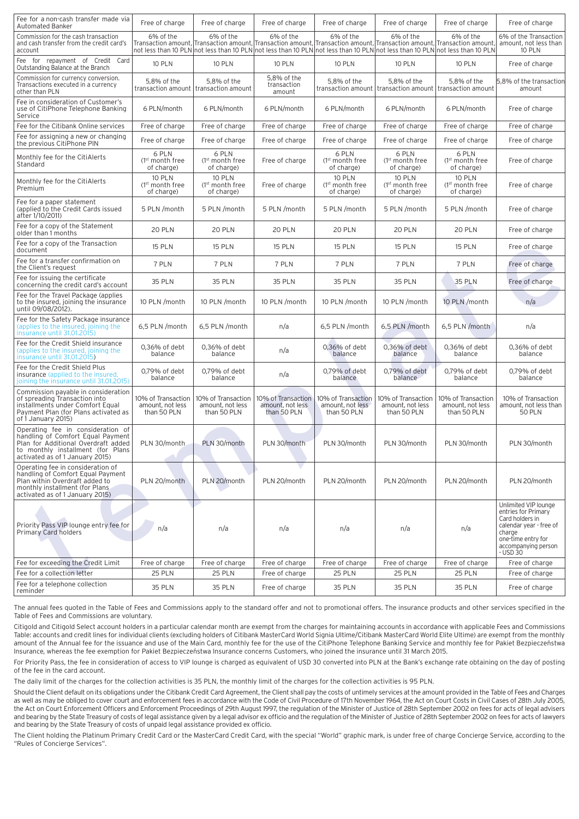| Fee for a non-cash transfer made via<br><b>Automated Banker</b>                                                                                                                       | Free of charge                                             | Free of charge                                        | Free of charge                                                                                                                                                                                                                                                       | Free of charge                                             | Free of charge                                                              | Free of charge                                        | Free of charge                                                                                                                                               |
|---------------------------------------------------------------------------------------------------------------------------------------------------------------------------------------|------------------------------------------------------------|-------------------------------------------------------|----------------------------------------------------------------------------------------------------------------------------------------------------------------------------------------------------------------------------------------------------------------------|------------------------------------------------------------|-----------------------------------------------------------------------------|-------------------------------------------------------|--------------------------------------------------------------------------------------------------------------------------------------------------------------|
| Commission for the cash transaction<br>and cash transfer from the credit card's<br>account                                                                                            | 6% of the                                                  | 6% of the                                             | 6% of the<br>Transaction amount, Transaction amount, Transaction amount, Transaction amount, Transaction amount, Transaction amount<br>not less than 10 PLN not less than 10 PLN not less than 10 PLN not less than 10 PLN not less than 10 PLN not less than 10 PLN | 6% of the                                                  | 6% of the                                                                   | 6% of the                                             | 6% of the Transaction<br>amount, not less than<br>10 PLN                                                                                                     |
| Fee for repayment of Credit Card<br>Outstanding Balance at the Branch                                                                                                                 | 10 PLN                                                     | <b>10 PLN</b>                                         | <b>10 PLN</b>                                                                                                                                                                                                                                                        | <b>10 PLN</b>                                              | <b>10 PLN</b>                                                               | <b>10 PLN</b>                                         | Free of charge                                                                                                                                               |
| Commission for currency conversion.<br>Transactions executed in a currency<br>other than PLN                                                                                          | 5,8% of the<br>transaction amount   transaction amount     | 5,8% of the                                           | 5.8% of the<br>transaction<br>amount                                                                                                                                                                                                                                 | 5.8% of the                                                | 5,8% of the<br>transaction amount   transaction amount   transaction amount | 5,8% of the                                           | 5,8% of the transaction<br>amount                                                                                                                            |
| Fee in consideration of Customer's<br>use of CitiPhone Telephone Banking<br>Service                                                                                                   | 6 PLN/month                                                | 6 PLN/month                                           | 6 PLN/month                                                                                                                                                                                                                                                          | 6 PLN/month                                                | 6 PLN/month                                                                 | 6 PLN/month                                           | Free of charge                                                                                                                                               |
| Fee for the Citibank Online services                                                                                                                                                  | Free of charge                                             | Free of charge                                        | Free of charge                                                                                                                                                                                                                                                       | Free of charge                                             | Free of charge                                                              | Free of charge                                        | Free of charge                                                                                                                                               |
| Fee for assigning a new or changing<br>the previous CitiPhone PIN                                                                                                                     | Free of charge                                             | Free of charge                                        | Free of charge                                                                                                                                                                                                                                                       | Free of charge                                             | Free of charge                                                              | Free of charge                                        | Free of charge                                                                                                                                               |
| Monthly fee for the CitiAlerts<br>Standard                                                                                                                                            | 6 PLN<br>$(1st$ month free<br>of charge)                   | 6 PLN<br>(1 <sup>st</sup> month free<br>of charge)    | Free of charge                                                                                                                                                                                                                                                       | 6 PLN<br>$(1st$ month free<br>of charge)                   | 6 PLN<br>$(1st$ month free<br>of charge)                                    | 6 PLN<br>$(1st$ month free<br>of charge)              | Free of charge                                                                                                                                               |
| Monthly fee for the CitiAlerts<br>Premium                                                                                                                                             | <b>10 PLN</b><br>(1 <sup>st</sup> month free<br>of charge) | <b>10 PLN</b><br>$(1st$ month free<br>of charge)      | Free of charge                                                                                                                                                                                                                                                       | <b>10 PLN</b><br>(1 <sup>st</sup> month free<br>of charge) | <b>10 PLN</b><br>$(1st$ month free<br>of charge)                            | <b>10 PLN</b><br>$(1st$ month free<br>of charge)      | Free of charge                                                                                                                                               |
| Fee for a paper statement<br>(applied to the Credit Cards issued<br>after 1/10/2011)                                                                                                  | 5 PLN /month                                               | 5 PLN /month                                          | 5 PLN /month                                                                                                                                                                                                                                                         | 5 PLN /month                                               | 5 PLN /month                                                                | 5 PLN /month                                          | Free of charge                                                                                                                                               |
| Fee for a copy of the Statement<br>older than 1 months                                                                                                                                | 20 PLN                                                     | 20 PLN                                                | 20 PLN                                                                                                                                                                                                                                                               | 20 PLN                                                     | 20 PLN                                                                      | 20 PLN                                                | Free of charge                                                                                                                                               |
| Fee for a copy of the Transaction<br>document                                                                                                                                         | <b>15 PLN</b>                                              | <b>15 PLN</b>                                         | <b>15 PLN</b>                                                                                                                                                                                                                                                        | <b>15 PLN</b>                                              | <b>15 PLN</b>                                                               | <b>15 PLN</b>                                         | Free of charge                                                                                                                                               |
| Fee for a transfer confirmation on<br>the Client's request                                                                                                                            | 7 PLN                                                      | 7 PLN                                                 | 7 PLN                                                                                                                                                                                                                                                                | 7 PLN                                                      | 7 PLN                                                                       | 7 PLN                                                 | Free of charge                                                                                                                                               |
| Fee for issuing the certificate<br>concerning the credit card's account                                                                                                               | <b>35 PLN</b>                                              | <b>35 PLN</b>                                         | <b>35 PLN</b>                                                                                                                                                                                                                                                        | <b>35 PLN</b>                                              | <b>35 PLN</b>                                                               | <b>35 PLN</b>                                         | Free of charge                                                                                                                                               |
| Fee for the Travel Package (applies<br>to the insured, joining the insurance<br>until 09/08/2012).                                                                                    | 10 PLN /month                                              | 10 PLN /month                                         | 10 PLN /month                                                                                                                                                                                                                                                        | 10 PLN /month                                              | 10 PLN /month                                                               | 10 PLN /month                                         | n/a                                                                                                                                                          |
| Fee for the Safety Package insurance<br>(applies to the insured, joining the<br>insurance until 31.01.2015)                                                                           | 6,5 PLN /month                                             | 6,5 PLN /month                                        | n/a                                                                                                                                                                                                                                                                  | 6,5 PLN /month                                             | 6,5 PLN /month                                                              | 6,5 PLN /month                                        | n/a                                                                                                                                                          |
| Fee for the Credit Shield insurance<br>(applies to the insured, joining the<br>insurance until 31.01.2015)                                                                            | 0.36% of debt<br>balance                                   | 0,36% of debt<br>balance                              | n/a                                                                                                                                                                                                                                                                  | 0,36% of debt<br>balance                                   | $0.36\%$ of debt<br>balance                                                 | 0,36% of debt<br>balance                              | 0,36% of debt<br>balance                                                                                                                                     |
| Fee for the Credit Shield Plus<br>insurance (applied to the insured,<br>joining the insurance until 31.01.2015)                                                                       | 0,79% of debt<br>balance                                   | 0,79% of debt<br>balance                              | n/a                                                                                                                                                                                                                                                                  | 0,79% of debt<br>balance                                   | 0,79% of debt<br>balance                                                    | 0,79% of debt<br>balance                              | 0,79% of debt<br>balance                                                                                                                                     |
| Commission pavable in consideration<br>of spreading Transaction into<br>installments under Comfort Equal<br>Payment Plan (for Plans activated as<br>of 1 January 2015)                | 10% of Transaction<br>amount, not less<br>than 50 PLN      | 10% of Transaction<br>amount, not less<br>than 50 PLN | 10% of Transaction<br>amount, not less<br>than 50 PLN                                                                                                                                                                                                                | 10% of Transaction<br>amount, not less<br>than 50 PLN      | 10% of Transaction<br>amount, not less<br>than 50 PLN                       | 10% of Transaction<br>amount, not less<br>than 50 PLN | 10% of Transaction<br>amount, not less than<br><b>50 PLN</b>                                                                                                 |
| Operating fee in consideration of<br>handling of Comfort Equal Payment<br>Plan for Additional Overdraft added<br>to monthly installment (for Plans<br>activated as of 1 January 2015) | PLN 30/month                                               | PLN 30/month                                          | PLN 30/month                                                                                                                                                                                                                                                         | PLN 30/month                                               | PLN 30/month                                                                | PLN 30/month                                          | PLN 30/month                                                                                                                                                 |
| Operating fee in consideration of<br>handling of Comfort Equal Payment<br>Plan within Overdraft added to<br>monthly installment (for Plans<br>activated as of 1 January 2015)         | PLN 20/month                                               | PLN 20/month                                          | PLN 20/month                                                                                                                                                                                                                                                         | PLN 20/month                                               | PLN 20/month                                                                | PLN 20/month                                          | PLN 20/month                                                                                                                                                 |
| Priority Pass VIP lounge entry fee for<br><b>Primary Card holders</b>                                                                                                                 | n/a                                                        | n/a                                                   | n/a                                                                                                                                                                                                                                                                  | n/a                                                        | n/a                                                                         | n/a                                                   | Unlimited VIP lounge<br>entries for Primary<br>Card holders in<br>calendar year - free of<br>charge<br>one-time entry for<br>accompanying person<br>- USD 30 |
| Fee for exceeding the Credit Limit                                                                                                                                                    | Free of charge                                             | Free of charge                                        | Free of charge                                                                                                                                                                                                                                                       | Free of charge                                             | Free of charge                                                              | Free of charge                                        | Free of charge                                                                                                                                               |
| Fee for a collection letter                                                                                                                                                           | <b>25 PLN</b>                                              | <b>25 PLN</b>                                         | Free of charge                                                                                                                                                                                                                                                       | 25 PLN                                                     | 25 PLN                                                                      | <b>25 PLN</b>                                         | Free of charge                                                                                                                                               |
| Fee for a telephone collection<br>reminder                                                                                                                                            | <b>35 PLN</b>                                              | <b>35 PLN</b>                                         | Free of charge                                                                                                                                                                                                                                                       | <b>35 PLN</b>                                              | <b>35 PLN</b>                                                               | <b>35 PLN</b>                                         | Free of charge                                                                                                                                               |

The annual fees quoted in the Table of Fees and Commissions apply to the standard offer and not to promotional offers. The insurance products and other services specified in the Table of Fees and Commissions are voluntary.

Citigold and Citigold Select account holders in a particular calendar month are exempt from the charges for maintaining accounts in accordance with applicable Fees and Commissions Table: accounts and credit lines for individual clients (excluding holders of Citibank MasterCard World Signia Ultime/Citibank MasterCard World Elite Ultime) are exempt from the monthly amount of the Annual fee for the issuance and use of the Main Card, monthly fee for the use of the CitiPhone Telephone Banking Service and monthly fee for Pakiet Bezpieczeństwa Insurance, whereas the fee exemption for Pakiet Bezpieczeństwa Insurance concerns Customers, who joined the insurance until 31 March 2015.

For Priority Pass, the fee in consideration of access to VIP lounge is charged as equivalent of USD 30 converted into PLN at the Bank's exchange rate obtaining on the day of posting of the fee in the card account.

The daily limit of the charges for the collection activities is 35 PLN, the monthly limit of the charges for the collection activities is 95 PLN.

Should the Client default on its obligations under the Citibank Credit Card Agreement, the Client shall pay the costs of untimely services at the amount provided in the Table of Fees and Charges as well as may be obliged to cover court and enforcement fees in accordance with the Code of Civil Procedure of 17th November 1964, the Act on Court Costs in Civil Cases of 28th July 2005, the Act on Court Enforcement Officers and Enforcement Proceedings of 29th August 1997, the regulation of the Minister of Justice of 28th September 2002 on fees for acts of legal advisers and bearing by the State Treasury of costs of legal assistance given by a legal advisor ex officio and the regulation of the Minister of Justice of 28th September 2002 on fees for acts of lawyers and bearing by the State Treasury of costs of unpaid legal assistance provided ex officio.

The Client holding the Platinum Primary Credit Card or the MasterCard Credit Card, with the special "World" graphic mark, is under free of charge Concierge Service, according to the "Rules of Concierge Services".